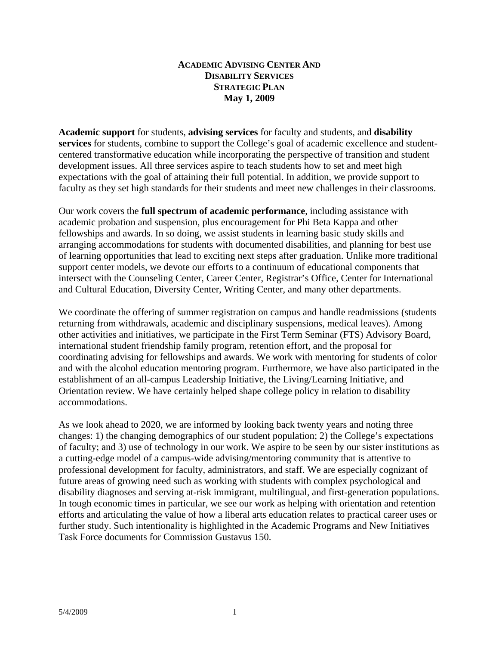## **ACADEMIC ADVISING CENTER AND DISABILITY SERVICES STRATEGIC PLAN May 1, 2009**

**Academic support** for students, **advising services** for faculty and students, and **disability services** for students, combine to support the College's goal of academic excellence and studentcentered transformative education while incorporating the perspective of transition and student development issues. All three services aspire to teach students how to set and meet high expectations with the goal of attaining their full potential. In addition, we provide support to faculty as they set high standards for their students and meet new challenges in their classrooms.

Our work covers the **full spectrum of academic performance**, including assistance with academic probation and suspension, plus encouragement for Phi Beta Kappa and other fellowships and awards. In so doing, we assist students in learning basic study skills and arranging accommodations for students with documented disabilities, and planning for best use of learning opportunities that lead to exciting next steps after graduation. Unlike more traditional support center models, we devote our efforts to a continuum of educational components that intersect with the Counseling Center, Career Center, Registrar's Office, Center for International and Cultural Education, Diversity Center, Writing Center, and many other departments.

We coordinate the offering of summer registration on campus and handle readmissions (students returning from withdrawals, academic and disciplinary suspensions, medical leaves). Among other activities and initiatives, we participate in the First Term Seminar (FTS) Advisory Board, international student friendship family program, retention effort, and the proposal for coordinating advising for fellowships and awards. We work with mentoring for students of color and with the alcohol education mentoring program. Furthermore, we have also participated in the establishment of an all-campus Leadership Initiative, the Living/Learning Initiative, and Orientation review. We have certainly helped shape college policy in relation to disability accommodations.

As we look ahead to 2020, we are informed by looking back twenty years and noting three changes: 1) the changing demographics of our student population; 2) the College's expectations of faculty; and 3) use of technology in our work. We aspire to be seen by our sister institutions as a cutting-edge model of a campus-wide advising/mentoring community that is attentive to professional development for faculty, administrators, and staff. We are especially cognizant of future areas of growing need such as working with students with complex psychological and disability diagnoses and serving at-risk immigrant, multilingual, and first-generation populations. In tough economic times in particular, we see our work as helping with orientation and retention efforts and articulating the value of how a liberal arts education relates to practical career uses or further study. Such intentionality is highlighted in the Academic Programs and New Initiatives Task Force documents for Commission Gustavus 150.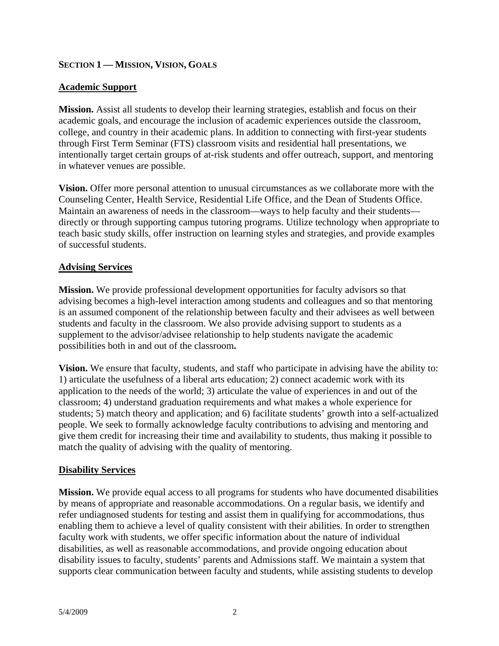# **SECTION 1 — MISSION, VISION, GOALS**

# **Academic Support**

**Mission.** Assist all students to develop their learning strategies, establish and focus on their academic goals, and encourage the inclusion of academic experiences outside the classroom, college, and country in their academic plans. In addition to connecting with first-year students through First Term Seminar (FTS) classroom visits and residential hall presentations, we intentionally target certain groups of at-risk students and offer outreach, support, and mentoring in whatever venues are possible.

**Vision.** Offer more personal attention to unusual circumstances as we collaborate more with the Counseling Center, Health Service, Residential Life Office, and the Dean of Students Office. Maintain an awareness of needs in the classroom—ways to help faculty and their students directly or through supporting campus tutoring programs. Utilize technology when appropriate to teach basic study skills, offer instruction on learning styles and strategies, and provide examples of successful students.

# **Advising Services**

**Mission.** We provide professional development opportunities for faculty advisors so that advising becomes a high-level interaction among students and colleagues and so that mentoring is an assumed component of the relationship between faculty and their advisees as well between students and faculty in the classroom. We also provide advising support to students as a supplement to the advisor/advisee relationship to help students navigate the academic possibilities both in and out of the classroom**.** 

**Vision.** We ensure that faculty, students, and staff who participate in advising have the ability to: 1) articulate the usefulness of a liberal arts education; 2) connect academic work with its application to the needs of the world; 3) articulate the value of experiences in and out of the classroom; 4) understand graduation requirements and what makes a whole experience for students; 5) match theory and application; and 6) facilitate students' growth into a self-actualized people. We seek to formally acknowledge faculty contributions to advising and mentoring and give them credit for increasing their time and availability to students, thus making it possible to match the quality of advising with the quality of mentoring.

# **Disability Services**

**Mission.** We provide equal access to all programs for students who have documented disabilities by means of appropriate and reasonable accommodations. On a regular basis, we identify and refer undiagnosed students for testing and assist them in qualifying for accommodations, thus enabling them to achieve a level of quality consistent with their abilities. In order to strengthen faculty work with students, we offer specific information about the nature of individual disabilities, as well as reasonable accommodations, and provide ongoing education about disability issues to faculty, students' parents and Admissions staff. We maintain a system that supports clear communication between faculty and students, while assisting students to develop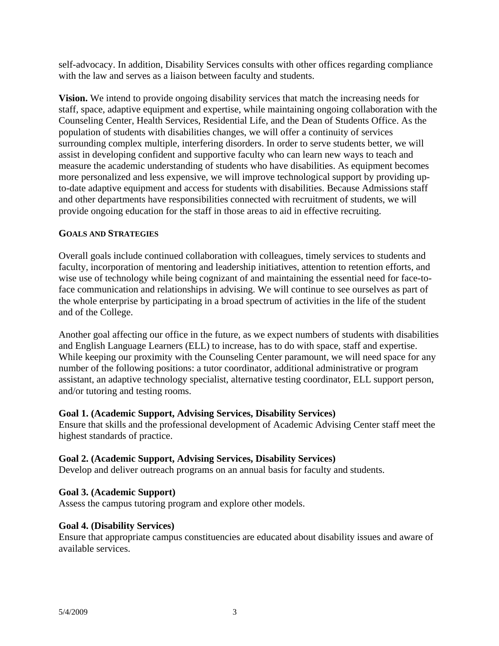self-advocacy. In addition, Disability Services consults with other offices regarding compliance with the law and serves as a liaison between faculty and students.

**Vision.** We intend to provide ongoing disability services that match the increasing needs for staff, space, adaptive equipment and expertise, while maintaining ongoing collaboration with the Counseling Center, Health Services, Residential Life, and the Dean of Students Office. As the population of students with disabilities changes, we will offer a continuity of services surrounding complex multiple, interfering disorders. In order to serve students better, we will assist in developing confident and supportive faculty who can learn new ways to teach and measure the academic understanding of students who have disabilities. As equipment becomes more personalized and less expensive, we will improve technological support by providing upto-date adaptive equipment and access for students with disabilities. Because Admissions staff and other departments have responsibilities connected with recruitment of students, we will provide ongoing education for the staff in those areas to aid in effective recruiting.

## **GOALS AND STRATEGIES**

Overall goals include continued collaboration with colleagues, timely services to students and faculty, incorporation of mentoring and leadership initiatives, attention to retention efforts, and wise use of technology while being cognizant of and maintaining the essential need for face-toface communication and relationships in advising. We will continue to see ourselves as part of the whole enterprise by participating in a broad spectrum of activities in the life of the student and of the College.

Another goal affecting our office in the future, as we expect numbers of students with disabilities and English Language Learners (ELL) to increase, has to do with space, staff and expertise. While keeping our proximity with the Counseling Center paramount, we will need space for any number of the following positions: a tutor coordinator, additional administrative or program assistant, an adaptive technology specialist, alternative testing coordinator, ELL support person, and/or tutoring and testing rooms.

## **Goal 1. (Academic Support, Advising Services, Disability Services)**

Ensure that skills and the professional development of Academic Advising Center staff meet the highest standards of practice.

# **Goal 2. (Academic Support, Advising Services, Disability Services)**

Develop and deliver outreach programs on an annual basis for faculty and students.

## **Goal 3. (Academic Support)**

Assess the campus tutoring program and explore other models.

## **Goal 4. (Disability Services)**

Ensure that appropriate campus constituencies are educated about disability issues and aware of available services.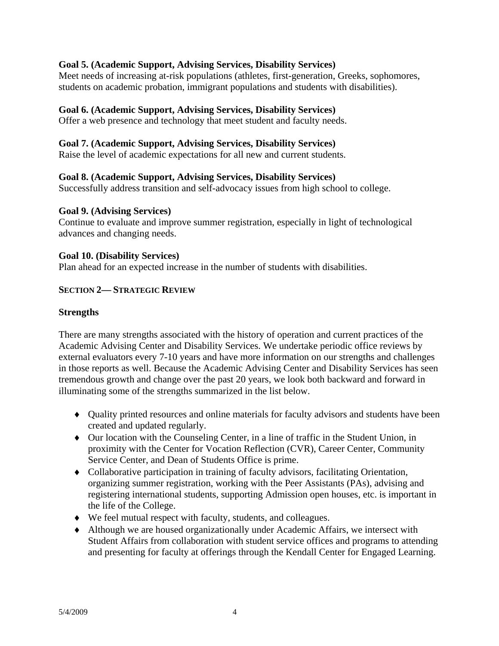## **Goal 5. (Academic Support, Advising Services, Disability Services)**

Meet needs of increasing at-risk populations (athletes, first-generation, Greeks, sophomores, students on academic probation, immigrant populations and students with disabilities).

## **Goal 6. (Academic Support, Advising Services, Disability Services)**

Offer a web presence and technology that meet student and faculty needs.

## **Goal 7. (Academic Support, Advising Services, Disability Services)**

Raise the level of academic expectations for all new and current students.

## **Goal 8. (Academic Support, Advising Services, Disability Services)**

Successfully address transition and self-advocacy issues from high school to college.

#### **Goal 9. (Advising Services)**

Continue to evaluate and improve summer registration, especially in light of technological advances and changing needs.

#### **Goal 10. (Disability Services)**

Plan ahead for an expected increase in the number of students with disabilities.

## **SECTION 2— STRATEGIC REVIEW**

#### **Strengths**

There are many strengths associated with the history of operation and current practices of the Academic Advising Center and Disability Services. We undertake periodic office reviews by external evaluators every 7-10 years and have more information on our strengths and challenges in those reports as well. Because the Academic Advising Center and Disability Services has seen tremendous growth and change over the past 20 years, we look both backward and forward in illuminating some of the strengths summarized in the list below.

- Quality printed resources and online materials for faculty advisors and students have been created and updated regularly.
- Our location with the Counseling Center, in a line of traffic in the Student Union, in proximity with the Center for Vocation Reflection (CVR), Career Center, Community Service Center, and Dean of Students Office is prime.
- Collaborative participation in training of faculty advisors, facilitating Orientation, organizing summer registration, working with the Peer Assistants (PAs), advising and registering international students, supporting Admission open houses, etc. is important in the life of the College.
- We feel mutual respect with faculty, students, and colleagues.
- Although we are housed organizationally under Academic Affairs, we intersect with Student Affairs from collaboration with student service offices and programs to attending and presenting for faculty at offerings through the Kendall Center for Engaged Learning.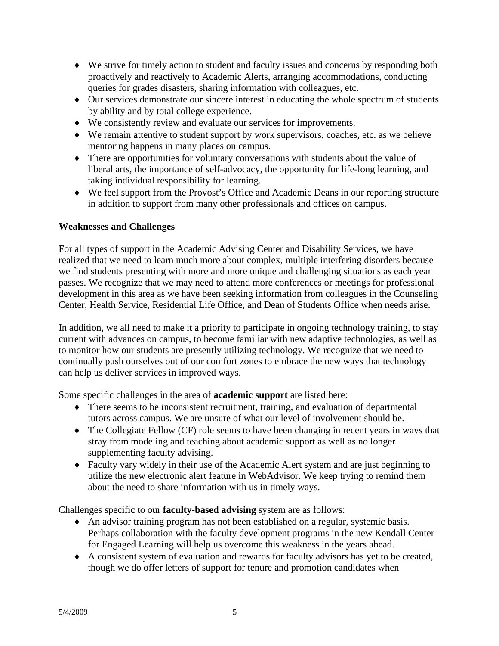- We strive for timely action to student and faculty issues and concerns by responding both proactively and reactively to Academic Alerts, arranging accommodations, conducting queries for grades disasters, sharing information with colleagues, etc.
- Our services demonstrate our sincere interest in educating the whole spectrum of students by ability and by total college experience.
- We consistently review and evaluate our services for improvements.
- We remain attentive to student support by work supervisors, coaches, etc. as we believe mentoring happens in many places on campus.
- There are opportunities for voluntary conversations with students about the value of liberal arts, the importance of self-advocacy, the opportunity for life-long learning, and taking individual responsibility for learning.
- We feel support from the Provost's Office and Academic Deans in our reporting structure in addition to support from many other professionals and offices on campus.

# **Weaknesses and Challenges**

For all types of support in the Academic Advising Center and Disability Services, we have realized that we need to learn much more about complex, multiple interfering disorders because we find students presenting with more and more unique and challenging situations as each year passes. We recognize that we may need to attend more conferences or meetings for professional development in this area as we have been seeking information from colleagues in the Counseling Center, Health Service, Residential Life Office, and Dean of Students Office when needs arise.

In addition, we all need to make it a priority to participate in ongoing technology training, to stay current with advances on campus, to become familiar with new adaptive technologies, as well as to monitor how our students are presently utilizing technology. We recognize that we need to continually push ourselves out of our comfort zones to embrace the new ways that technology can help us deliver services in improved ways.

Some specific challenges in the area of **academic support** are listed here:

- There seems to be inconsistent recruitment, training, and evaluation of departmental tutors across campus. We are unsure of what our level of involvement should be.
- The Collegiate Fellow (CF) role seems to have been changing in recent years in ways that stray from modeling and teaching about academic support as well as no longer supplementing faculty advising.
- Faculty vary widely in their use of the Academic Alert system and are just beginning to utilize the new electronic alert feature in WebAdvisor. We keep trying to remind them about the need to share information with us in timely ways.

Challenges specific to our **faculty-based advising** system are as follows:

- An advisor training program has not been established on a regular, systemic basis. Perhaps collaboration with the faculty development programs in the new Kendall Center for Engaged Learning will help us overcome this weakness in the years ahead.
- A consistent system of evaluation and rewards for faculty advisors has yet to be created, though we do offer letters of support for tenure and promotion candidates when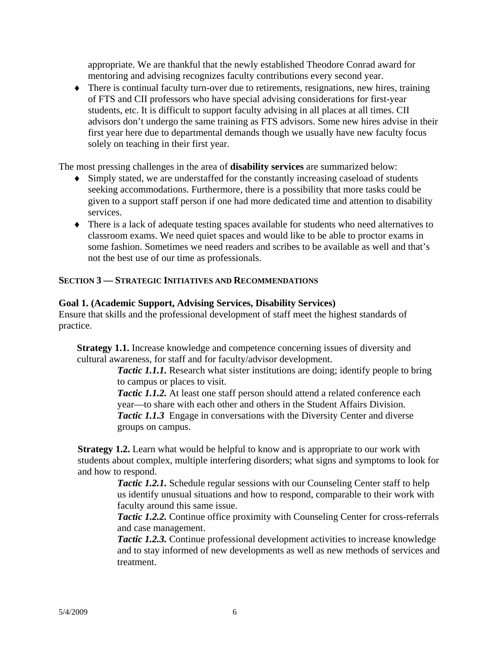appropriate. We are thankful that the newly established Theodore Conrad award for mentoring and advising recognizes faculty contributions every second year.

 There is continual faculty turn-over due to retirements, resignations, new hires, training of FTS and CII professors who have special advising considerations for first-year students, etc. It is difficult to support faculty advising in all places at all times. CII advisors don't undergo the same training as FTS advisors. Some new hires advise in their first year here due to departmental demands though we usually have new faculty focus solely on teaching in their first year.

The most pressing challenges in the area of **disability services** are summarized below:

- Simply stated, we are understaffed for the constantly increasing caseload of students seeking accommodations. Furthermore, there is a possibility that more tasks could be given to a support staff person if one had more dedicated time and attention to disability services.
- There is a lack of adequate testing spaces available for students who need alternatives to classroom exams. We need quiet spaces and would like to be able to proctor exams in some fashion. Sometimes we need readers and scribes to be available as well and that's not the best use of our time as professionals.

# **SECTION 3 — STRATEGIC INITIATIVES AND RECOMMENDATIONS**

## **Goal 1. (Academic Support, Advising Services, Disability Services)**

Ensure that skills and the professional development of staff meet the highest standards of practice.

**Strategy 1.1.** Increase knowledge and competence concerning issues of diversity and cultural awareness, for staff and for faculty/advisor development.

*Tactic 1.1.1.* Research what sister institutions are doing; identify people to bring to campus or places to visit.

*Tactic 1.1.2.* At least one staff person should attend a related conference each year—to share with each other and others in the Student Affairs Division. *Tactic 1.1.3* Engage in conversations with the Diversity Center and diverse groups on campus.

**Strategy 1.2.** Learn what would be helpful to know and is appropriate to our work with students about complex, multiple interfering disorders; what signs and symptoms to look for and how to respond.

> *Tactic 1.2.1.* Schedule regular sessions with our Counseling Center staff to help us identify unusual situations and how to respond, comparable to their work with faculty around this same issue.

*Tactic 1.2.2.* Continue office proximity with Counseling Center for cross-referrals and case management.

*Tactic 1.2.3.* Continue professional development activities to increase knowledge and to stay informed of new developments as well as new methods of services and treatment.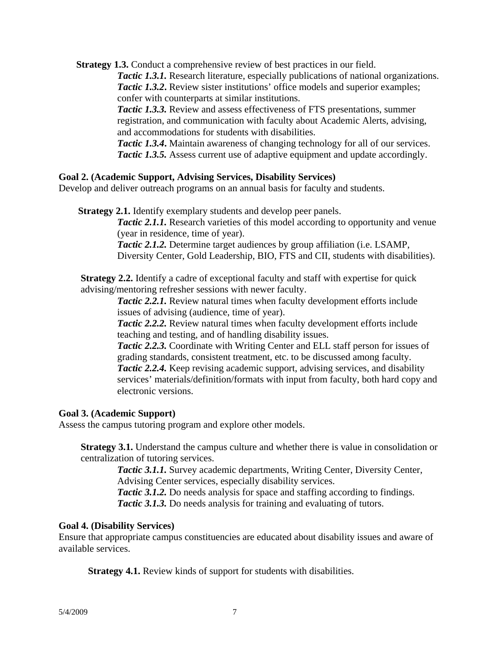**Strategy 1.3.** Conduct a comprehensive review of best practices in our field.

*Tactic 1.3.1.* Research literature, especially publications of national organizations. **Tactic 1.3.2.** Review sister institutions' office models and superior examples; confer with counterparts at similar institutions.

*Tactic 1.3.3.* Review and assess effectiveness of FTS presentations, summer registration, and communication with faculty about Academic Alerts, advising, and accommodations for students with disabilities.

*Tactic 1.3.4***.** Maintain awareness of changing technology for all of our services. *Tactic 1.3.5.* Assess current use of adaptive equipment and update accordingly.

## **Goal 2. (Academic Support, Advising Services, Disability Services)**

Develop and deliver outreach programs on an annual basis for faculty and students.

**Strategy 2.1.** Identify exemplary students and develop peer panels.

*Tactic 2.1.1.* Research varieties of this model according to opportunity and venue (year in residence, time of year).

*Tactic 2.1.2.* Determine target audiences by group affiliation (i.e. LSAMP, Diversity Center, Gold Leadership, BIO, FTS and CII, students with disabilities).

**Strategy 2.2.** Identify a cadre of exceptional faculty and staff with expertise for quick advising/mentoring refresher sessions with newer faculty.

> *Tactic 2.2.1.* Review natural times when faculty development efforts include issues of advising (audience, time of year).

> *Tactic 2.2.2.* Review natural times when faculty development efforts include teaching and testing, and of handling disability issues.

*Tactic 2.2.3.* Coordinate with Writing Center and ELL staff person for issues of grading standards, consistent treatment, etc. to be discussed among faculty. *Tactic 2.2.4.* Keep revising academic support, advising services, and disability services' materials/definition/formats with input from faculty, both hard copy and electronic versions.

## **Goal 3. (Academic Support)**

Assess the campus tutoring program and explore other models.

**Strategy 3.1.** Understand the campus culture and whether there is value in consolidation or centralization of tutoring services.

> *Tactic 3.1.1.* Survey academic departments, Writing Center, Diversity Center, Advising Center services, especially disability services.

*Tactic* 3.1.2. Do needs analysis for space and staffing according to findings. *Tactic 3.1.3.* Do needs analysis for training and evaluating of tutors.

## **Goal 4. (Disability Services)**

Ensure that appropriate campus constituencies are educated about disability issues and aware of available services.

**Strategy 4.1.** Review kinds of support for students with disabilities.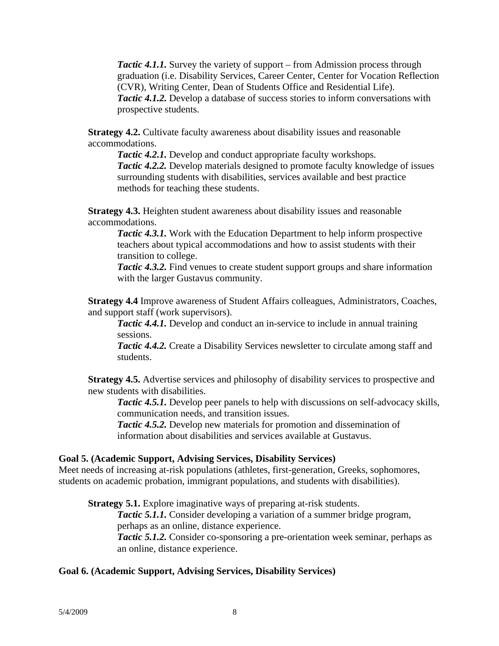*Tactic 4.1.1.* Survey the variety of support – from Admission process through graduation (i.e. Disability Services, Career Center, Center for Vocation Reflection (CVR), Writing Center, Dean of Students Office and Residential Life). *Tactic 4.1.2.* Develop a database of success stories to inform conversations with prospective students.

**Strategy 4.2.** Cultivate faculty awareness about disability issues and reasonable accommodations.

 *Tactic 4.2.1.* Develop and conduct appropriate faculty workshops. *Tactic 4.2.2.* Develop materials designed to promote faculty knowledge of issues surrounding students with disabilities, services available and best practice methods for teaching these students.

**Strategy 4.3.** Heighten student awareness about disability issues and reasonable accommodations.

*Tactic 4.3.1.* Work with the Education Department to help inform prospective teachers about typical accommodations and how to assist students with their transition to college.

*Tactic 4.3.2.* Find venues to create student support groups and share information with the larger Gustavus community.

**Strategy 4.4** Improve awareness of Student Affairs colleagues, Administrators, Coaches, and support staff (work supervisors).

*Tactic 4.4.1.* Develop and conduct an in-service to include in annual training sessions.

*Tactic 4.4.2.* Create a Disability Services newsletter to circulate among staff and students.

**Strategy 4.5.** Advertise services and philosophy of disability services to prospective and new students with disabilities.

*Tactic 4.5.1.* Develop peer panels to help with discussions on self-advocacy skills, communication needs, and transition issues.

*Tactic 4.5.2.* Develop new materials for promotion and dissemination of information about disabilities and services available at Gustavus.

## **Goal 5. (Academic Support, Advising Services, Disability Services)**

Meet needs of increasing at-risk populations (athletes, first-generation, Greeks, sophomores, students on academic probation, immigrant populations, and students with disabilities).

**Strategy 5.1.** Explore imaginative ways of preparing at-risk students.

*Tactic 5.1.1.* Consider developing a variation of a summer bridge program, perhaps as an online, distance experience.

*Tactic 5.1.2.* Consider co-sponsoring a pre-orientation week seminar, perhaps as an online, distance experience.

## **Goal 6. (Academic Support, Advising Services, Disability Services)**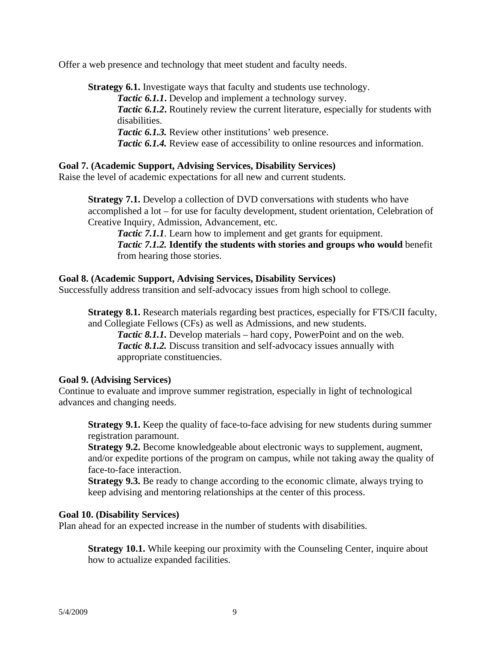Offer a web presence and technology that meet student and faculty needs.

**Strategy 6.1.** Investigate ways that faculty and students use technology. *Tactic 6.1.1***.** Develop and implement a technology survey. *Tactic 6.1.2***.** Routinely review the current literature, especially for students with disabilities. **Tactic 6.1.3.** Review other institutions' web presence. *Tactic 6.1.4.* Review ease of accessibility to online resources and information.

## **Goal 7. (Academic Support, Advising Services, Disability Services)**

Raise the level of academic expectations for all new and current students.

**Strategy 7.1.** Develop a collection of DVD conversations with students who have accomplished a lot – for use for faculty development, student orientation, Celebration of Creative Inquiry, Admission, Advancement, etc.

*Tactic 7.1.1.* Learn how to implement and get grants for equipment. *Tactic 7.1.2.* **Identify the students with stories and groups who would** benefit from hearing those stories.

## **Goal 8. (Academic Support, Advising Services, Disability Services)**

Successfully address transition and self-advocacy issues from high school to college.

**Strategy 8.1.** Research materials regarding best practices, especially for FTS/CII faculty, and Collegiate Fellows (CFs) as well as Admissions, and new students.

*Tactic 8.1.1.* Develop materials – hard copy, PowerPoint and on the web. *Tactic 8.1.2.* Discuss transition and self-advocacy issues annually with appropriate constituencies.

## **Goal 9. (Advising Services)**

Continue to evaluate and improve summer registration, especially in light of technological advances and changing needs.

**Strategy 9.1.** Keep the quality of face-to-face advising for new students during summer registration paramount.

**Strategy 9.2.** Become knowledgeable about electronic ways to supplement, augment, and/or expedite portions of the program on campus, while not taking away the quality of face-to-face interaction.

**Strategy 9.3.** Be ready to change according to the economic climate, always trying to keep advising and mentoring relationships at the center of this process.

## **Goal 10. (Disability Services)**

Plan ahead for an expected increase in the number of students with disabilities.

**Strategy 10.1.** While keeping our proximity with the Counseling Center, inquire about how to actualize expanded facilities.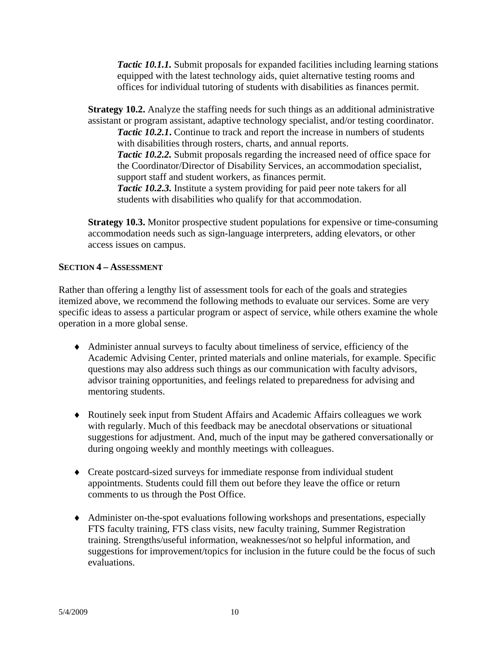*Tactic 10.1.1.* Submit proposals for expanded facilities including learning stations equipped with the latest technology aids, quiet alternative testing rooms and offices for individual tutoring of students with disabilities as finances permit.

**Strategy 10.2.** Analyze the staffing needs for such things as an additional administrative assistant or program assistant, adaptive technology specialist, and/or testing coordinator. *Tactic 10.2.1***.** Continue to track and report the increase in numbers of students with disabilities through rosters, charts, and annual reports. *Tactic 10.2.2.* Submit proposals regarding the increased need of office space for the Coordinator/Director of Disability Services, an accommodation specialist, support staff and student workers, as finances permit. *Tactic 10.2.3.* Institute a system providing for paid peer note takers for all students with disabilities who qualify for that accommodation.

**Strategy 10.3.** Monitor prospective student populations for expensive or time-consuming accommodation needs such as sign-language interpreters, adding elevators, or other access issues on campus.

## **SECTION 4 – ASSESSMENT**

Rather than offering a lengthy list of assessment tools for each of the goals and strategies itemized above, we recommend the following methods to evaluate our services. Some are very specific ideas to assess a particular program or aspect of service, while others examine the whole operation in a more global sense.

- Administer annual surveys to faculty about timeliness of service, efficiency of the Academic Advising Center, printed materials and online materials, for example. Specific questions may also address such things as our communication with faculty advisors, advisor training opportunities, and feelings related to preparedness for advising and mentoring students.
- Routinely seek input from Student Affairs and Academic Affairs colleagues we work with regularly. Much of this feedback may be anecdotal observations or situational suggestions for adjustment. And, much of the input may be gathered conversationally or during ongoing weekly and monthly meetings with colleagues.
- Create postcard-sized surveys for immediate response from individual student appointments. Students could fill them out before they leave the office or return comments to us through the Post Office.
- Administer on-the-spot evaluations following workshops and presentations, especially FTS faculty training, FTS class visits, new faculty training, Summer Registration training. Strengths/useful information, weaknesses/not so helpful information, and suggestions for improvement/topics for inclusion in the future could be the focus of such evaluations.